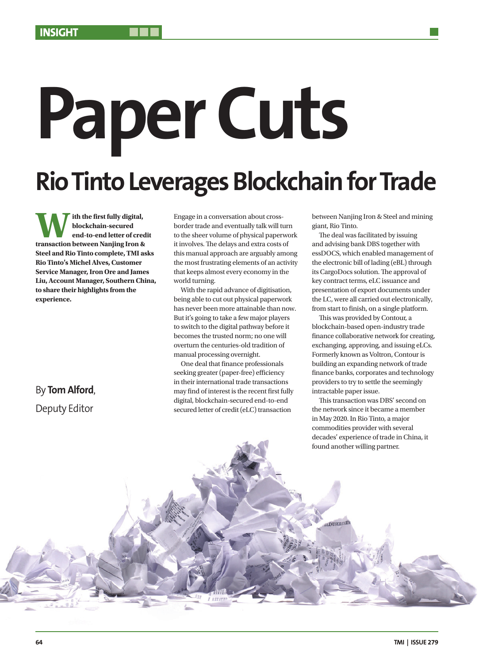# **Paper Cuts Rio Tinto Leverages Blockchain for Trade**

**With the first fully digital, transaction between Nanjing Iron & blockchain-secured end-to-end letter of credit Steel and Rio Tinto complete, TMI asks Rio Tinto's Michel Alves, Customer Service Manager, Iron Ore and James Liu, Account Manager, Southern China, to share their highlights from the experience.** 

# By **Tom Alford**, Deputy Editor

Engage in a conversation about crossborder trade and eventually talk will turn to the sheer volume of physical paperwork it involves. The delays and extra costs of this manual approach are arguably among the most frustrating elements of an activity that keeps almost every economy in the world turning.

With the rapid advance of digitisation, being able to cut out physical paperwork has never been more attainable than now. But it's going to take a few major players to switch to the digital pathway before it becomes the trusted norm; no one will overturn the centuries-old tradition of manual processing overnight.

One deal that finance professionals seeking greater (paper-free) efficiency in their international trade transactions may find of interest is the recent first fully digital, blockchain-secured end-to-end secured letter of credit (eLC) transaction

between Nanjing Iron & Steel and mining giant, Rio Tinto.

The deal was facilitated by issuing and advising bank DBS together with essDOCS, which enabled management of the electronic bill of lading (eBL) through its CargoDocs solution. The approval of key contract terms, eLC issuance and presentation of export documents under the LC, were all carried out electronically, from start to finish, on a single platform.

This was provided by Contour, a blockchain-based open-industry trade finance collaborative network for creating, exchanging, approving, and issuing eLCs. Formerly known as Voltron, Contour is building an expanding network of trade finance banks, corporates and technology providers to try to settle the seemingly intractable paper issue.

This transaction was DBS' second on the network since it became a member in May 2020. In Rio Tinto, a major commodities provider with several decades' experience of trade in China, it found another willing partner.

LDUSKREAD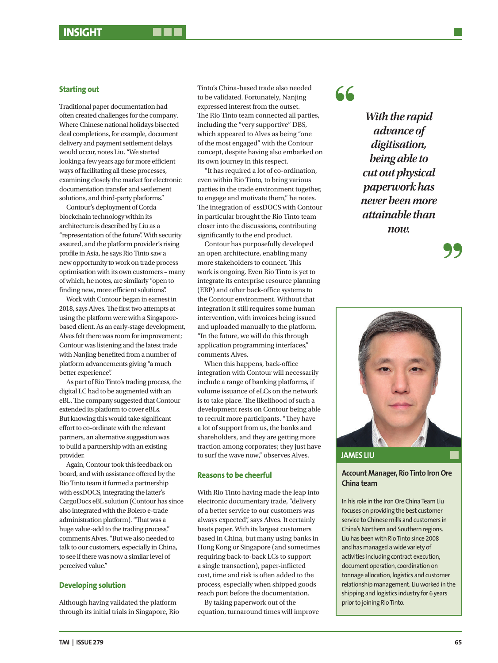Traditional paper documentation had often created challenges for the company. Where Chinese national holidays bisected deal completions, for example, document delivery and payment settlement delays would occur, notes Liu. "We started looking a few years ago for more efficient ways of facilitating all these processes, examining closely the market for electronic documentation transfer and settlement solutions, and third-party platforms."

Contour's deployment of Corda blockchain technology within its architecture is described by Liu as a "representation of the future". With security assured, and the platform provider's rising profile in Asia, he says Rio Tinto saw a new opportunity to work on trade process optimisation with its own customers – many of which, he notes, are similarly "open to finding new, more efficient solutions".

Work with Contour began in earnest in 2018, says Alves. The first two attempts at using the platform were with a Singaporebased client. As an early-stage development, Alves felt there was room for improvement; Contour was listening and the latest trade with Nanjing benefited from a number of platform advancements giving "a much better experience".

As part of Rio Tinto's trading process, the digital LC had to be augmented with an eBL. The company suggested that Contour extended its platform to cover eBLs. But knowing this would take significant effort to co-ordinate with the relevant partners, an alternative suggestion was to build a partnership with an existing provider.

Again, Contour took this feedback on board, and with assistance offered by the Rio Tinto team it formed a partnership with essDOCS, integrating the latter's CargoDocs eBL solution (Contour has since also integrated with the Bolero e-trade administration platform). "That was a huge value-add to the trading process," comments Alves. "But we also needed to talk to our customers, especially in China, to see if there was now a similar level of perceived value."

# **Developing solution**

Although having validated the platform through its initial trials in Singapore, Rio Tinto's China-based trade also needed to be validated. Fortunately, Nanjing expressed interest from the outset. The Rio Tinto team connected all parties, including the "very supportive" DBS, which appeared to Alves as being "one of the most engaged" with the Contour concept, despite having also embarked on its own journey in this respect.

"It has required a lot of co-ordination, even within Rio Tinto, to bring various parties in the trade environment together, to engage and motivate them," he notes. The integration of essDOCS with Contour in particular brought the Rio Tinto team closer into the discussions, contributing significantly to the end product.

Contour has purposefully developed an open architecture, enabling many more stakeholders to connect. This work is ongoing. Even Rio Tinto is yet to integrate its enterprise resource planning (ERP) and other back-office systems to the Contour environment. Without that integration it still requires some human intervention, with invoices being issued and uploaded manually to the platform. "In the future, we will do this through application programming interfaces," comments Alves.

When this happens, back-office integration with Contour will necessarily include a range of banking platforms, if volume issuance of eLCs on the network is to take place. The likelihood of such a development rests on Contour being able to recruit more participants. "They have a lot of support from us, the banks and shareholders, and they are getting more traction among corporates; they just have to surf the wave now," observes Alves.

### **Reasons to be cheerful**

With Rio Tinto having made the leap into electronic documentary trade, "delivery of a better service to our customers was always expected", says Alves. It certainly beats paper. With its largest customers based in China, but many using banks in Hong Kong or Singapore (and sometimes requiring back-to-back LCs to support a single transaction), paper-inflicted cost, time and risk is often added to the process, especially when shipped goods reach port before the documentation.

By taking paperwork out of the equation, turnaround times will improve

# $66$

*With the rapid advance of digitisation, being able to cut out physical paperwork has never been more attainable than now.* 



# **Account Manager, Rio Tinto Iron Ore China team**

In his role in the Iron Ore China Team Liu focuses on providing the best customer service to Chinese mills and customers in China's Northern and Southern regions. Liu has been with Rio Tinto since 2008 and has managed a wide variety of activities including contract execution, document operation, coordination on tonnage allocation, logistics and customer relationship management. Liu worked in the shipping and logistics industry for 6 years prior to joining Rio Tinto.